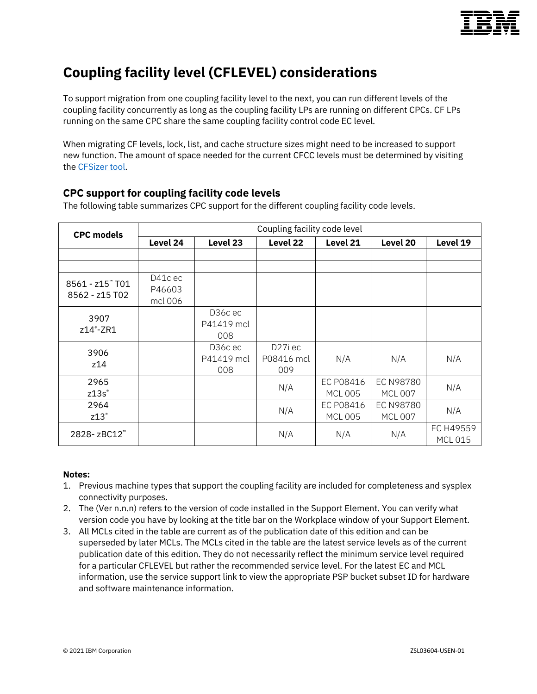

# **Coupling facility level (CFLEVEL) considerations**

To support migration from one coupling facility level to the next, you can run different levels of the coupling facility concurrently as long as the coupling facility LPs are running on different CPCs. CF LPs running on the same CPC share the same coupling facility control code EC level.

When migrating CF levels, lock, list, and cache structure sizes might need to be increased to support new function. The amount of space needed for the current CFCC levels must be determined by visiting the [CFSizer tool.](http://www.ibm.com/systems/support/z/cfsizer)

## **CPC support for coupling facility code levels**

The following table summarizes CPC support for the different coupling facility code levels.

| <b>CPC models</b>                 | Coupling facility code level |                              |                                           |                             |                                    |                             |
|-----------------------------------|------------------------------|------------------------------|-------------------------------------------|-----------------------------|------------------------------------|-----------------------------|
|                                   | Level 24                     | Level 23                     | Level 22                                  | Level 21                    | Level 20                           | Level 19                    |
|                                   |                              |                              |                                           |                             |                                    |                             |
|                                   |                              |                              |                                           |                             |                                    |                             |
| 8561 - z15" T01<br>8562 - z15 T02 | D41c ec<br>P46603<br>mcl 006 |                              |                                           |                             |                                    |                             |
| 3907<br>z14°-ZR1                  |                              | D36cec<br>P41419 mcl<br>008  |                                           |                             |                                    |                             |
| 3906<br>z14                       |                              | D36c ec<br>P41419 mcl<br>008 | D <sub>27</sub> i ec<br>P08416 mcl<br>009 | N/A                         | N/A                                | N/A                         |
| 2965<br>z13s                      |                              |                              | N/A                                       | EC P08416<br><b>MCL 005</b> | <b>EC N98780</b><br><b>MCL 007</b> | N/A                         |
| 2964<br>z13°                      |                              |                              | N/A                                       | EC P08416<br><b>MCL 005</b> | EC N98780<br><b>MCL 007</b>        | N/A                         |
| 2828-zBC12                        |                              |                              | N/A                                       | N/A                         | N/A                                | EC H49559<br><b>MCL 015</b> |

#### **Notes:**

- 1. Previous machine types that support the coupling facility are included for completeness and sysplex connectivity purposes.
- 2. The (Ver n.n.n) refers to the version of code installed in the Support Element. You can verify what version code you have by looking at the title bar on the Workplace window of your Support Element.
- 3. All MCLs cited in the table are current as of the publication date of this edition and can be superseded by later MCLs. The MCLs cited in the table are the latest service levels as of the current publication date of this edition. They do not necessarily reflect the minimum service level required for a particular CFLEVEL but rather the recommended service level. For the latest EC and MCL information, use the service support link to view the appropriate PSP bucket subset ID for hardware and software maintenance information.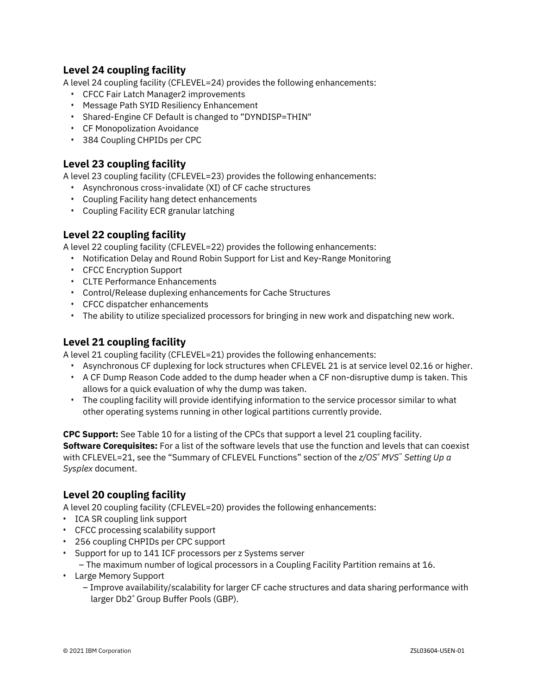#### **Level 24 coupling facility**

A level 24 coupling facility (CFLEVEL=24) provides the following enhancements:

- CFCC Fair Latch Manager2 improvements
- Message Path SYID Resiliency Enhancement
- Shared-Engine CF Default is changed to "DYNDISP=THIN"
- CF Monopolization Avoidance
- 384 Coupling CHPIDs per CPC

#### **Level 23 coupling facility**

A level 23 coupling facility (CFLEVEL=23) provides the following enhancements:

- Asynchronous cross-invalidate (XI) of CF cache structures
- Coupling Facility hang detect enhancements
- Coupling Facility ECR granular latching

#### **Level 22 coupling facility**

A level 22 coupling facility (CFLEVEL=22) provides the following enhancements:

- Notification Delay and Round Robin Support for List and Key-Range Monitoring
- CFCC Encryption Support
- CLTE Performance Enhancements
- Control/Release duplexing enhancements for Cache Structures
- CFCC dispatcher enhancements
- The ability to utilize specialized processors for bringing in new work and dispatching new work.

#### **Level 21 coupling facility**

A level 21 coupling facility (CFLEVEL=21) provides the following enhancements:

- Asynchronous CF duplexing for lock structures when CFLEVEL 21 is at service level 02.16 or higher.
- A CF Dump Reason Code added to the dump header when a CF non-disruptive dump is taken. This allows for a quick evaluation of why the dump was taken.
- The coupling facility will provide identifying information to the service processor similar to what other operating systems running in other logical partitions currently provide.

**CPC Support:** See Table 10 for a listing of the CPCs that support a level 21 coupling facility. **Software Corequisites:** For a list of the software levels that use the function and levels that can coexist with CFLEVEL=21, see the "Summary of CFLEVEL Functions" section of the *z/OS® MVS*™ *Setting Up a Sysplex* document.

#### **Level 20 coupling facility**

A level 20 coupling facility (CFLEVEL=20) provides the following enhancements:

- ICA SR coupling link support
- CFCC processing scalability support
- 256 coupling CHPIDs per CPC support
- Support for up to 141 ICF processors per z Systems server
	- The maximum number of logical processors in a Coupling Facility Partition remains at 16.
- Large Memory Support
	- Improve availability/scalability for larger CF cache structures and data sharing performance with larger Db2*®* Group Buffer Pools (GBP).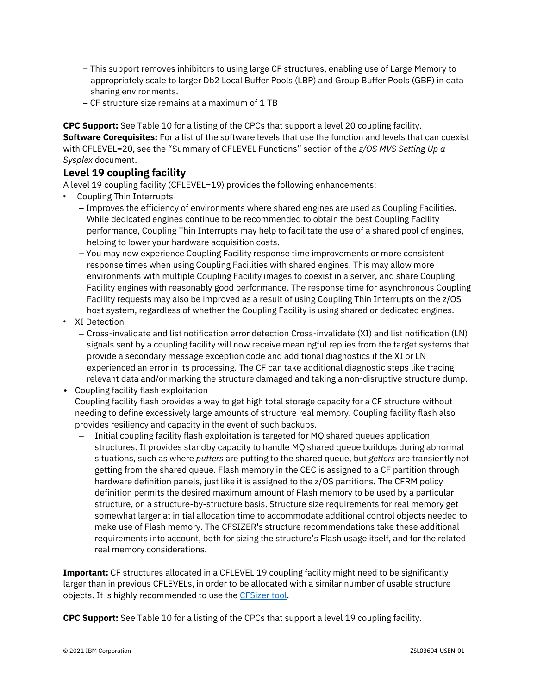- This support removes inhibitors to using large CF structures, enabling use of Large Memory to appropriately scale to larger Db2 Local Buffer Pools (LBP) and Group Buffer Pools (GBP) in data sharing environments.
- CF structure size remains at a maximum of 1 TB

**CPC Support:** See Table 10 for a listing of the CPCs that support a level 20 coupling facility. **Software Corequisites:** For a list of the software levels that use the function and levels that can coexist with CFLEVEL=20, see the "Summary of CFLEVEL Functions" section of the *z/OS MVS Setting Up a Sysplex* document.

#### **Level 19 coupling facility**

A level 19 coupling facility (CFLEVEL=19) provides the following enhancements:

- Coupling Thin Interrupts
	- Improves the efficiency of environments where shared engines are used as Coupling Facilities. While dedicated engines continue to be recommended to obtain the best Coupling Facility performance, Coupling Thin Interrupts may help to facilitate the use of a shared pool of engines, helping to lower your hardware acquisition costs.
	- You may now experience Coupling Facility response time improvements or more consistent response times when using Coupling Facilities with shared engines. This may allow more environments with multiple Coupling Facility images to coexist in a server, and share Coupling Facility engines with reasonably good performance. The response time for asynchronous Coupling Facility requests may also be improved as a result of using Coupling Thin Interrupts on the z/OS host system, regardless of whether the Coupling Facility is using shared or dedicated engines.
- XI Detection
	- ‒ Cross-invalidate and list notification error detection Cross-invalidate (XI) and list notification (LN) signals sent by a coupling facility will now receive meaningful replies from the target systems that provide a secondary message exception code and additional diagnostics if the XI or LN experienced an error in its processing. The CF can take additional diagnostic steps like tracing relevant data and/or marking the structure damaged and taking a non-disruptive structure dump.
- Coupling facility flash exploitation Coupling facility flash provides a way to get high total storage capacity for a CF structure without needing to define excessively large amounts of structure real memory. Coupling facility flash also provides resiliency and capacity in the event of such backups.
	- ‒ Initial coupling facility flash exploitation is targeted for MQ shared queues application structures. It provides standby capacity to handle MQ shared queue buildups during abnormal situations, such as where *putters* are putting to the shared queue, but *getters* are transiently not getting from the shared queue. Flash memory in the CEC is assigned to a CF partition through hardware definition panels, just like it is assigned to the z/OS partitions. The CFRM policy definition permits the desired maximum amount of Flash memory to be used by a particular structure, on a structure-by-structure basis. Structure size requirements for real memory get somewhat larger at initial allocation time to accommodate additional control objects needed to make use of Flash memory. The CFSIZER's structure recommendations take these additional requirements into account, both for sizing the structure's Flash usage itself, and for the related real memory considerations.

**Important:** CF structures allocated in a CFLEVEL 19 coupling facility might need to be significantly larger than in previous CFLEVELs, in order to be allocated with a similar number of usable structure objects. It is highly recommended to use th[e CFSizer tool.](http://www.ibm.com/systems/support/z/cfsizer)

**CPC Support:** See Table 10 for a listing of the CPCs that support a level 19 coupling facility.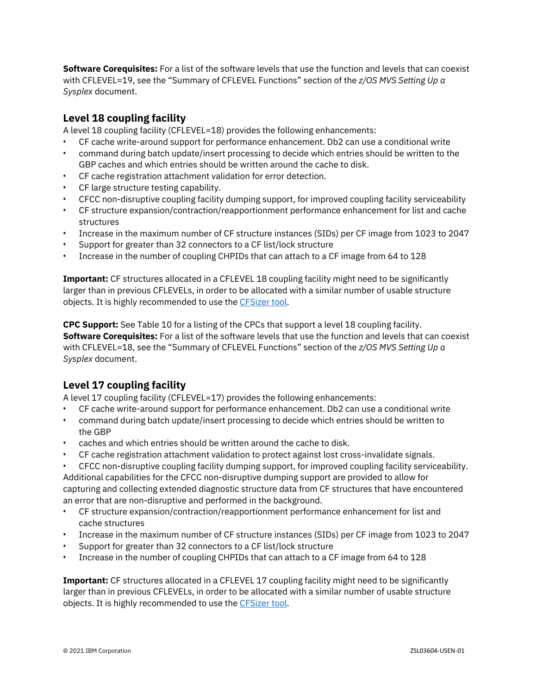**Software Corequisites:** For a list of the software levels that use the function and levels that can coexist with CFLEVEL=19, see the "Summary of CFLEVEL Functions" section of the *z/OS MVS Setting Up a Sysplex* document.

### **Level 18 coupling facility**

A level 18 coupling facility (CFLEVEL=18) provides the following enhancements:

- CF cache write-around support for performance enhancement. Db2 can use a conditional write
- command during batch update/insert processing to decide which entries should be written to the GBP caches and which entries should be written around the cache to disk.
- CF cache registration attachment validation for error detection.
- CF large structure testing capability.
- CFCC non-disruptive coupling facility dumping support, for improved coupling facility serviceability
- CF structure expansion/contraction/reapportionment performance enhancement for list and cache structures
- Increase in the maximum number of CF structure instances (SIDs) per CF image from 1023 to 2047
- Support for greater than 32 connectors to a CF list/lock structure
- Increase in the number of coupling CHPIDs that can attach to a CF image from 64 to 128

**Important:** CF structures allocated in a CFLEVEL 18 coupling facility might need to be significantly larger than in previous CFLEVELs, in order to be allocated with a similar number of usable structure objects. It is highly recommended to use th[e CFSizer tool.](http://www.ibm.com/systems/support/z/cfsizer)

**CPC Support:** See Table 10 for a listing of the CPCs that support a level 18 coupling facility. **Software Corequisites:** For a list of the software levels that use the function and levels that can coexist with CFLEVEL=18, see the "Summary of CFLEVEL Functions" section of the *z/OS MVS Setting Up a Sysplex* document.

## **Level 17 coupling facility**

A level 17 coupling facility (CFLEVEL=17) provides the following enhancements:

- CF cache write-around support for performance enhancement. Db2 can use a conditional write
- command during batch update/insert processing to decide which entries should be written to the GBP
- caches and which entries should be written around the cache to disk.
- CF cache registration attachment validation to protect against lost cross-invalidate signals.
- CFCC non-disruptive coupling facility dumping support, for improved coupling facility serviceability. Additional capabilities for the CFCC non-disruptive dumping support are provided to allow for capturing and collecting extended diagnostic structure data from CF structures that have encountered an error that are non-disruptive and performed in the background.
- CF structure expansion/contraction/reapportionment performance enhancement for list and cache structures
- Increase in the maximum number of CF structure instances (SIDs) per CF image from 1023 to 2047
- Support for greater than 32 connectors to a CF list/lock structure
- Increase in the number of coupling CHPIDs that can attach to a CF image from 64 to 128

**Important:** CF structures allocated in a CFLEVEL 17 coupling facility might need to be significantly larger than in previous CFLEVELs, in order to be allocated with a similar number of usable structure objects. It is highly recommended to use th[e CFSizer](http://www.ibm.com/systems/support/z/cfsizer) tool.